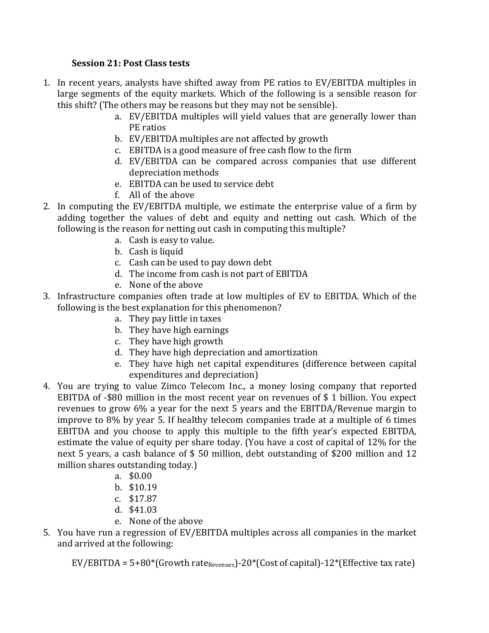## **Session 21: Post Class tests**

- 1. In recent years, analysts have shifted away from PE ratios to EV/EBITDA multiples in large segments of the equity markets. Which of the following is a sensible reason for this shift? (The others may be reasons but they may not be sensible).
	- a. EV/EBITDA multiples will yield values that are generally lower than PE ratios
	- b. EV/EBITDA multiples are not affected by growth
	- c. EBITDA is a good measure of free cash flow to the firm
	- d. EV/EBITDA can be compared across companies that use different depreciation methods
	- e. EBITDA can be used to service debt
	- f. All of the above
- 2. In computing the EV/EBITDA multiple, we estimate the enterprise value of a firm by adding together the values of debt and equity and netting out cash. Which of the following is the reason for netting out cash in computing this multiple?
	- a. Cash is easy to value.
	- b. Cash is liquid
	- c. Cash can be used to pay down debt
	- d. The income from cash is not part of EBITDA
	- e. None of the above
- 3. Infrastructure companies often trade at low multiples of EV to EBITDA. Which of the following is the best explanation for this phenomenon?
	- a. They pay little in taxes
	- b. They have high earnings
	- c. They have high growth
	- d. They have high depreciation and amortization
	- e. They have high net capital expenditures (difference between capital expenditures and depreciation)
- 4. You are trying to value Zimco Telecom Inc., a money losing company that reported EBITDA of -\$80 million in the most recent year on revenues of  $\frac{1}{2}$  billion. You expect revenues to grow 6% a year for the next 5 years and the EBITDA/Revenue margin to improve to  $8\%$  by year 5. If healthy telecom companies trade at a multiple of 6 times EBITDA and you choose to apply this multiple to the fifth year's expected EBITDA, estimate the value of equity per share today. (You have a cost of capital of 12% for the next 5 years, a cash balance of  $$50$  million, debt outstanding of  $$200$  million and 12 million shares outstanding today.)
	- a. \$0.00
	- b. \$10.19
	- c. \$17.87
	- d. \$41.03
	- e. None of the above
- 5. You have run a regression of EV/EBITDA multiples across all companies in the market and arrived at the following:

 $EV/EBITDA = 5+80*(Growth rate_{Reiveness})-20*(Cost of capital)-12*(Effective tax rate)$